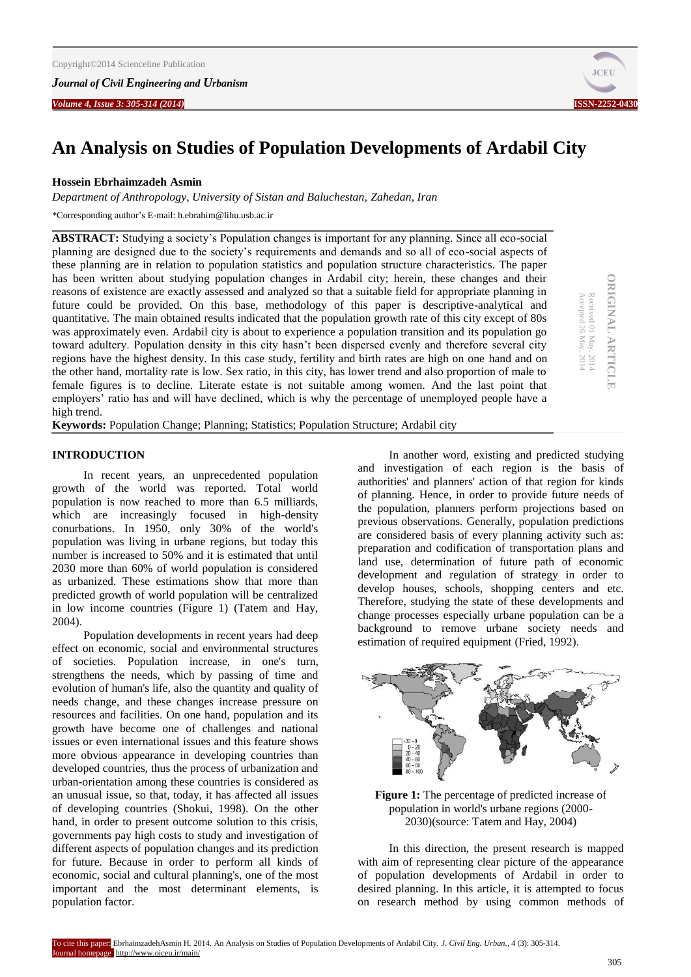

**ORIGINAL ARTICLE** Received 01 May. 2014 Accepted 26 May. 2014

**ORIGINAL ARTICLE** 

Received 01 May. 2014<br>Accepted 26 May. 2014

# **An Analysis on Studies of Population Developments of Ardabil City**

## **Hossein Ebrhaimzadeh Asmin**

*Department of Anthropology, University of Sistan and Baluchestan, Zahedan, Iran*

\*Corresponding author's E-mail: h.ebrahim@lihu.usb.ac.ir

**ABSTRACT:** Studying a society's Population changes is important for any planning. Since all eco-social planning are designed due to the society's requirements and demands and so all of eco-social aspects of these planning are in relation to population statistics and population structure characteristics. The paper has been written about studying population changes in Ardabil city; herein, these changes and their reasons of existence are exactly assessed and analyzed so that a suitable field for appropriate planning in future could be provided. On this base, methodology of this paper is descriptive-analytical and quantitative. The main obtained results indicated that the population growth rate of this city except of 80s was approximately even. Ardabil city is about to experience a population transition and its population go toward adultery. Population density in this city hasn't been dispersed evenly and therefore several city regions have the highest density. In this case study, fertility and birth rates are high on one hand and on the other hand, mortality rate is low. Sex ratio, in this city, has lower trend and also proportion of male to female figures is to decline. Literate estate is not suitable among women. And the last point that employers' ratio has and will have declined, which is why the percentage of unemployed people have a high trend.

**Keywords:** Population Change; Planning; Statistics; Population Structure; Ardabil city

## **INTRODUCTION**

In recent years, an unprecedented population growth of the world was reported. Total world population is now reached to more than 6.5 milliards, which are increasingly focused in high-density conurbations. In 1950, only 30% of the world's population was living in urbane regions, but today this number is increased to 50% and it is estimated that until 2030 more than 60% of world population is considered as urbanized. These estimations show that more than predicted growth of world population will be centralized in low income countries (Figure 1) (Tatem and Hay, 2004).

Population developments in recent years had deep effect on economic, social and environmental structures of societies. Population increase, in one's turn, strengthens the needs, which by passing of time and evolution of human's life, also the quantity and quality of needs change, and these changes increase pressure on resources and facilities. On one hand, population and its growth have become one of challenges and national issues or even international issues and this feature shows more obvious appearance in developing countries than developed countries, thus the process of urbanization and urban-orientation among these countries is considered as an unusual issue, so that, today, it has affected all issues of developing countries (Shokui, 1998). On the other hand, in order to present outcome solution to this crisis, governments pay high costs to study and investigation of different aspects of population changes and its prediction for future. Because in order to perform all kinds of economic, social and cultural planning's, one of the most important and the most determinant elements, is population factor.

In another word, existing and predicted studying and investigation of each region is the basis of authorities' and planners' action of that region for kinds of planning. Hence, in order to provide future needs of the population, planners perform projections based on previous observations. Generally, population predictions are considered basis of every planning activity such as: preparation and codification of transportation plans and land use, determination of future path of economic development and regulation of strategy in order to develop houses, schools, shopping centers and etc. Therefore, studying the state of these developments and change processes especially urbane population can be a background to remove urbane society needs and estimation of required equipment (Fried, 1992).



**Figure 1:** The percentage of predicted increase of population in world's urbane regions (2000- 2030)(source: Tatem and Hay, 2004)

In this direction, the present research is mapped with aim of representing clear picture of the appearance of population developments of Ardabil in order to desired planning. In this article, it is attempted to focus on research method by using common methods of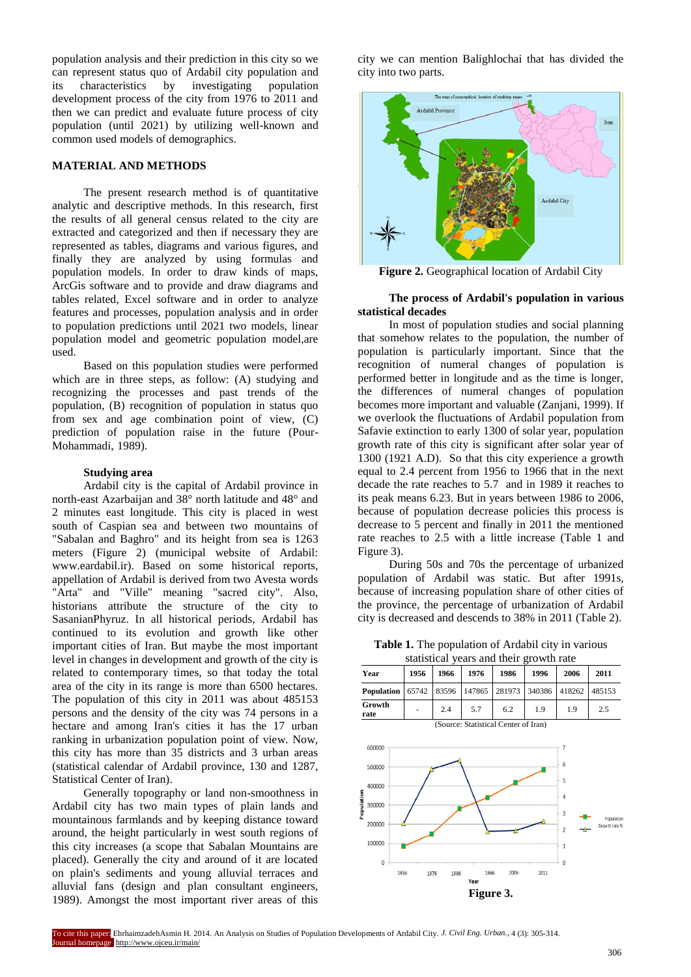population analysis and their prediction in this city so we can represent status quo of Ardabil city population and<br>its characteristics by investigating population its characteristics by investigating development process of the city from 1976 to 2011 and then we can predict and evaluate future process of city population (until 2021) by utilizing well-known and common used models of demographics.

#### **MATERIAL AND METHODS**

The present research method is of quantitative analytic and descriptive methods. In this research, first the results of all general census related to the city are extracted and categorized and then if necessary they are represented as tables, diagrams and various figures, and finally they are analyzed by using formulas and population models. In order to draw kinds of maps, ArcGis software and to provide and draw diagrams and tables related, Excel software and in order to analyze features and processes, population analysis and in order to population predictions until 2021 two models, linear population model and geometric population model,are used.

Based on this population studies were performed which are in three steps, as follow: (A) studying and recognizing the processes and past trends of the population, (B) recognition of population in status quo from sex and age combination point of view, (C) prediction of population raise in the future (Pour-Mohammadi, 1989).

# **Studying area**

Ardabil city is the capital of Ardabil province in north-east Azarbaijan and 38° north latitude and 48° and 2 minutes east longitude. This city is placed in west south of Caspian sea and between two mountains of "Sabalan and Baghro" and its height from sea is 1263 meters (Figure 2) (municipal website of Ardabil: www.eardabil.ir). Based on some historical reports, appellation of Ardabil is derived from two Avesta words "Arta" and "Ville" meaning "sacred city". Also, historians attribute the structure of the city to SasanianPhyruz. In all historical periods, Ardabil has continued to its evolution and growth like other important cities of Iran. But maybe the most important level in changes in development and growth of the city is related to contemporary times, so that today the total area of the city in its range is more than 6500 hectares. The population of this city in 2011 was about 485153 persons and the density of the city was 74 persons in a hectare and among Iran's cities it has the 17 urban ranking in urbanization population point of view. Now, this city has more than 35 districts and 3 urban areas (statistical calendar of Ardabil province, 130 and 1287, Statistical Center of Iran).

Generally topography or land non-smoothness in Ardabil city has two main types of plain lands and mountainous farmlands and by keeping distance toward around, the height particularly in west south regions of this city increases (a scope that Sabalan Mountains are placed). Generally the city and around of it are located on plain's sediments and young alluvial terraces and alluvial fans (design and plan consultant engineers, 1989). Amongst the most important river areas of this

city we can mention Balighlochai that has divided the city into two parts.



**Figure 2.** Geographical location of Ardabil City

# **The process of Ardabil's population in various statistical decades**

In most of population studies and social planning that somehow relates to the population, the number of population is particularly important. Since that the recognition of numeral changes of population is performed better in longitude and as the time is longer, the differences of numeral changes of population becomes more important and valuable (Zanjani, 1999). If we overlook the fluctuations of Ardabil population from Safavie extinction to early 1300 of solar year, population growth rate of this city is significant after solar year of 1300 (1921 A.D). So that this city experience a growth equal to 2.4 percent from 1956 to 1966 that in the next decade the rate reaches to 5.7 and in 1989 it reaches to its peak means 6.23. But in years between 1986 to 2006, because of population decrease policies this process is decrease to 5 percent and finally in 2011 the mentioned rate reaches to 2.5 with a little increase (Table 1 and Figure 3).

During 50s and 70s the percentage of urbanized population of Ardabil was static. But after 1991s, because of increasing population share of other cities of the province, the percentage of urbanization of Ardabil city is decreased and descends to 38% in 2011 (Table 2).

**Table 1.** The population of Ardabil city in various statistical years and their growth rate

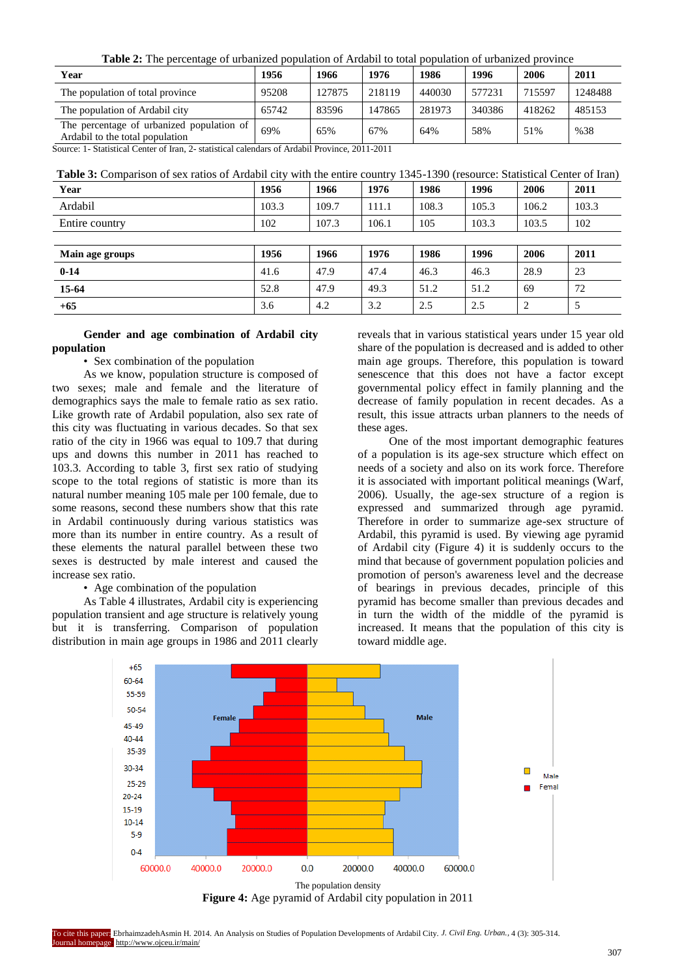**Table 2:** The percentage of urbanized population of Ardabil to total population of urbanized province

| Year                                                                         | 1956  | 1966   | 1976   | 1986   | 1996   | 2006   | 2011    |
|------------------------------------------------------------------------------|-------|--------|--------|--------|--------|--------|---------|
| The population of total province                                             | 95208 | 127875 | 218119 | 440030 | 577231 | 715597 | 1248488 |
| The population of Ardabil city                                               | 65742 | 83596  | 147865 | 281973 | 340386 | 418262 | 485153  |
| The percentage of urbanized population of<br>Ardabil to the total population | 69%   | 65%    | 67%    | 64%    | 58%    | 51%    | %38     |

Source: 1- Statistical Center of Iran, 2- statistical calendars of Ardabil Province, 2011-2011

| Year            | 1956  | 1966  | 1976  | 1986  | 1996  | 2006  | 2011  |
|-----------------|-------|-------|-------|-------|-------|-------|-------|
| Ardabil         | 103.3 | 109.7 | 111.1 | 108.3 | 105.3 | 106.2 | 103.3 |
| Entire country  | 102   | 107.3 | 106.1 | 105   | 103.3 | 103.5 | 102   |
|                 |       |       |       |       |       |       |       |
| Main age groups | 1956  | 1966  | 1976  | 1986  | 1996  | 2006  | 2011  |
| $0 - 14$        | 41.6  | 47.9  | 47.4  | 46.3  | 46.3  | 28.9  | 23    |
| $15-64$         | 52.8  | 47.9  | 49.3  | 51.2  | 51.2  | 69    | 72    |
| $+65$           | 3.6   | 4.2   | 3.2   | 2.5   | 2.5   | 2     | 5     |

## **Gender and age combination of Ardabil city population**

• Sex combination of the population

As we know, population structure is composed of two sexes; male and female and the literature of demographics says the male to female ratio as sex ratio. Like growth rate of Ardabil population, also sex rate of this city was fluctuating in various decades. So that sex ratio of the city in 1966 was equal to 109.7 that during ups and downs this number in 2011 has reached to 103.3. According to table 3, first sex ratio of studying scope to the total regions of statistic is more than its natural number meaning 105 male per 100 female, due to some reasons, second these numbers show that this rate in Ardabil continuously during various statistics was more than its number in entire country. As a result of these elements the natural parallel between these two sexes is destructed by male interest and caused the increase sex ratio.

• Age combination of the population

As Table 4 illustrates, Ardabil city is experiencing population transient and age structure is relatively young but it is transferring. Comparison of population distribution in main age groups in 1986 and 2011 clearly reveals that in various statistical years under 15 year old share of the population is decreased and is added to other main age groups. Therefore, this population is toward senescence that this does not have a factor except governmental policy effect in family planning and the decrease of family population in recent decades. As a result, this issue attracts urban planners to the needs of these ages.

One of the most important demographic features of a population is its age-sex structure which effect on needs of a society and also on its work force. Therefore it is associated with important political meanings (Warf, 2006). Usually, the age-sex structure of a region is expressed and summarized through age pyramid. Therefore in order to summarize age-sex structure of Ardabil, this pyramid is used. By viewing age pyramid of Ardabil city (Figure 4) it is suddenly occurs to the mind that because of government population policies and promotion of person's awareness level and the decrease of bearings in previous decades, principle of this pyramid has become smaller than previous decades and in turn the width of the middle of the pyramid is increased. It means that the population of this city is toward middle age.



**Figure 4:** Age pyramid of Ardabil city population in 2011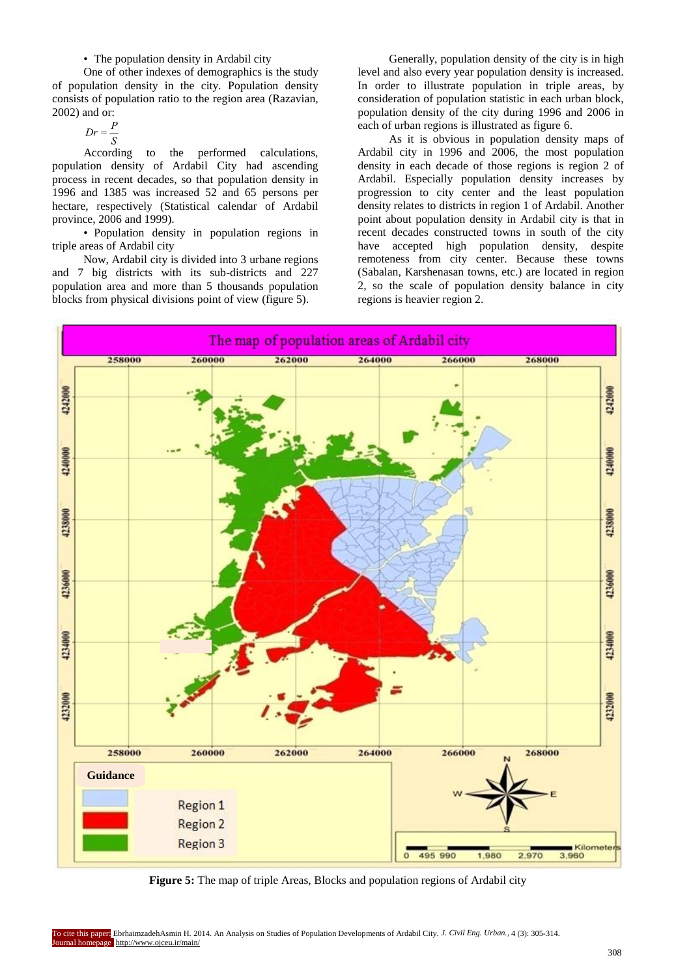# • The population density in Ardabil city

One of other indexes of demographics is the study of population density in the city. Population density consists of population ratio to the region area (Razavian, 2002) and or:

$$
Dr = \frac{P}{S}
$$

According to the performed calculations, population density of Ardabil City had ascending process in recent decades, so that population density in 1996 and 1385 was increased 52 and 65 persons per hectare, respectively (Statistical calendar of Ardabil province, 2006 and 1999).

• Population density in population regions in triple areas of Ardabil city

Now, Ardabil city is divided into 3 urbane regions and 7 big districts with its sub-districts and 227 population area and more than 5 thousands population blocks from physical divisions point of view (figure 5).

Generally, population density of the city is in high level and also every year population density is increased. In order to illustrate population in triple areas, by consideration of population statistic in each urban block, population density of the city during 1996 and 2006 in each of urban regions is illustrated as figure 6.

As it is obvious in population density maps of Ardabil city in 1996 and 2006, the most population density in each decade of those regions is region 2 of Ardabil. Especially population density increases by progression to city center and the least population density relates to districts in region 1 of Ardabil. Another point about population density in Ardabil city is that in recent decades constructed towns in south of the city have accepted high population density, despite remoteness from city center. Because these towns (Sabalan, Karshenasan towns, etc.) are located in region 2, so the scale of population density balance in city regions is heavier region 2.



**Figure 5:** The map of triple Areas, Blocks and population regions of Ardabil city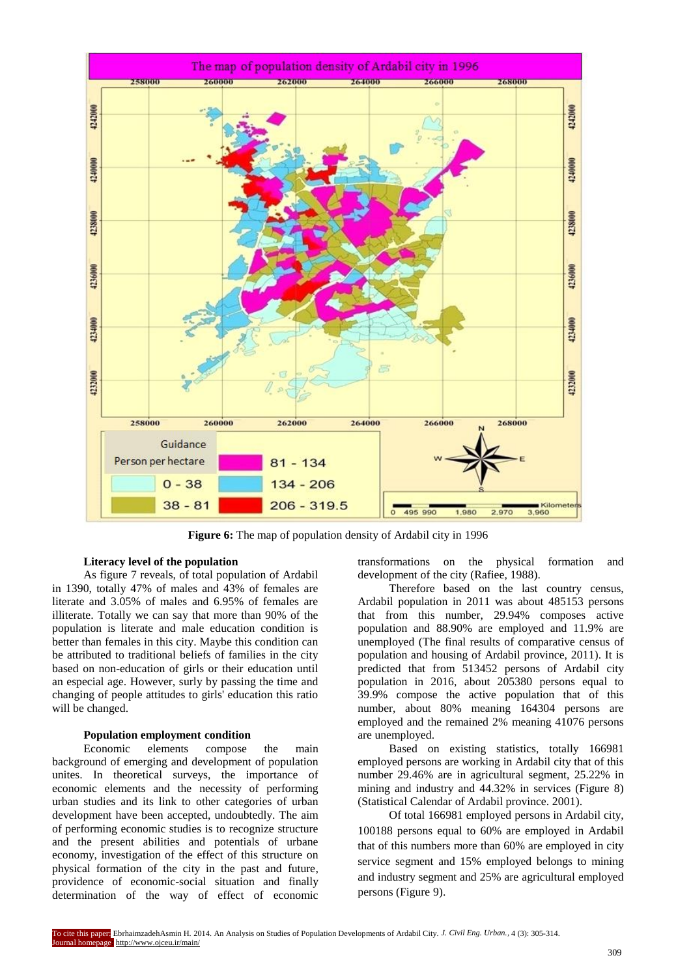

**Figure 6:** The map of population density of Ardabil city in 1996

## **Literacy level of the population**

As figure 7 reveals, of total population of Ardabil in 1390, totally 47% of males and 43% of females are literate and 3.05% of males and 6.95% of females are illiterate. Totally we can say that more than 90% of the population is literate and male education condition is better than females in this city. Maybe this condition can be attributed to traditional beliefs of families in the city based on non-education of girls or their education until an especial age. However, surly by passing the time and changing of people attitudes to girls' education this ratio will be changed.

### **Population employment condition**

Economic elements compose the main background of emerging and development of population unites. In theoretical surveys, the importance of economic elements and the necessity of performing urban studies and its link to other categories of urban development have been accepted, undoubtedly. The aim of performing economic studies is to recognize structure and the present abilities and potentials of urbane economy, investigation of the effect of this structure on physical formation of the city in the past and future, providence of economic-social situation and finally determination of the way of effect of economic transformations on the physical formation and development of the city (Rafiee, 1988).

Therefore based on the last country census, Ardabil population in 2011 was about 485153 persons that from this number, 29.94% composes active population and 88.90% are employed and 11.9% are unemployed (The final results of comparative census of population and housing of Ardabil province, 2011). It is predicted that from 513452 persons of Ardabil city population in 2016, about 205380 persons equal to 39.9% compose the active population that of this number, about 80% meaning 164304 persons are employed and the remained 2% meaning 41076 persons are unemployed.

Based on existing statistics, totally 166981 employed persons are working in Ardabil city that of this number 29.46% are in agricultural segment, 25.22% in mining and industry and 44.32% in services (Figure 8) (Statistical Calendar of Ardabil province. 2001).

Of total 166981 employed persons in Ardabil city, 100188 persons equal to 60% are employed in Ardabil that of this numbers more than 60% are employed in city service segment and 15% employed belongs to mining and industry segment and 25% are agricultural employed persons (Figure 9).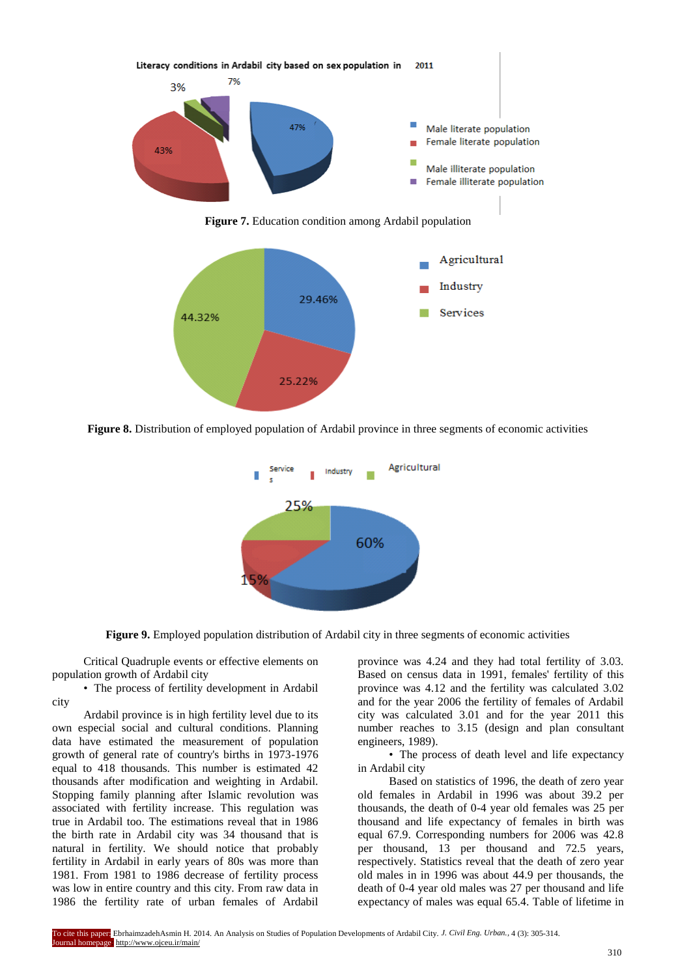

**Figure 8.** Distribution of employed population of Ardabil province in three segments of economic activities



**Figure 9.** Employed population distribution of Ardabil city in three segments of economic activities

Critical Quadruple events or effective elements on population growth of Ardabil city

• The process of fertility development in Ardabil city

Ardabil province is in high fertility level due to its own especial social and cultural conditions. Planning data have estimated the measurement of population growth of general rate of country's births in 1973-1976 equal to 418 thousands. This number is estimated 42 thousands after modification and weighting in Ardabil. Stopping family planning after Islamic revolution was associated with fertility increase. This regulation was true in Ardabil too. The estimations reveal that in 1986 the birth rate in Ardabil city was 34 thousand that is natural in fertility. We should notice that probably fertility in Ardabil in early years of 80s was more than 1981. From 1981 to 1986 decrease of fertility process was low in entire country and this city. From raw data in 1986 the fertility rate of urban females of Ardabil

province was 4.24 and they had total fertility of 3.03. Based on census data in 1991, females' fertility of this province was 4.12 and the fertility was calculated 3.02 and for the year 2006 the fertility of females of Ardabil city was calculated 3.01 and for the year 2011 this number reaches to 3.15 (design and plan consultant engineers, 1989).

• The process of death level and life expectancy in Ardabil city

Based on statistics of 1996, the death of zero year old females in Ardabil in 1996 was about 39.2 per thousands, the death of 0-4 year old females was 25 per thousand and life expectancy of females in birth was equal 67.9. Corresponding numbers for 2006 was 42.8 per thousand, 13 per thousand and 72.5 years, respectively. Statistics reveal that the death of zero year old males in in 1996 was about 44.9 per thousands, the death of 0-4 year old males was 27 per thousand and life expectancy of males was equal 65.4. Table of lifetime in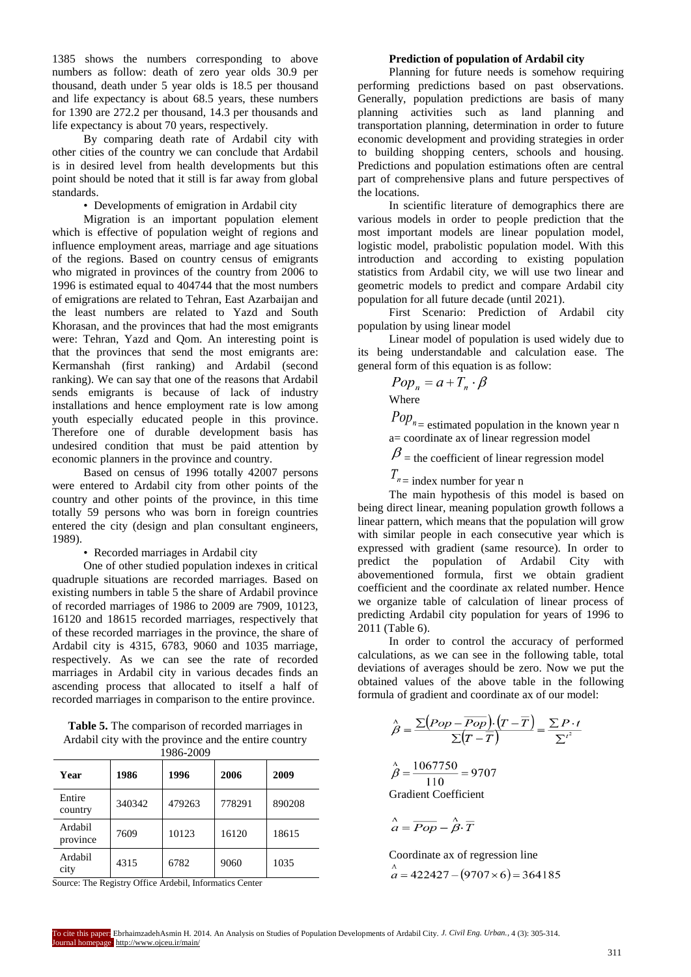1385 shows the numbers corresponding to above numbers as follow: death of zero year olds 30.9 per thousand, death under 5 year olds is 18.5 per thousand and life expectancy is about 68.5 years, these numbers for 1390 are 272.2 per thousand, 14.3 per thousands and life expectancy is about 70 years, respectively.

By comparing death rate of Ardabil city with other cities of the country we can conclude that Ardabil is in desired level from health developments but this point should be noted that it still is far away from global standards.

• Developments of emigration in Ardabil city

Migration is an important population element which is effective of population weight of regions and influence employment areas, marriage and age situations of the regions. Based on country census of emigrants who migrated in provinces of the country from 2006 to 1996 is estimated equal to 404744 that the most numbers of emigrations are related to Tehran, East Azarbaijan and the least numbers are related to Yazd and South Khorasan, and the provinces that had the most emigrants were: Tehran, Yazd and Qom. An interesting point is that the provinces that send the most emigrants are: Kermanshah (first ranking) and Ardabil (second ranking). We can say that one of the reasons that Ardabil sends emigrants is because of lack of industry installations and hence employment rate is low among youth especially educated people in this province. Therefore one of durable development basis has undesired condition that must be paid attention by economic planners in the province and country.

Based on census of 1996 totally 42007 persons were entered to Ardabil city from other points of the country and other points of the province, in this time totally 59 persons who was born in foreign countries entered the city (design and plan consultant engineers, 1989).

• Recorded marriages in Ardabil city

One of other studied population indexes in critical quadruple situations are recorded marriages. Based on existing numbers in table 5 the share of Ardabil province of recorded marriages of 1986 to 2009 are 7909, 10123, 16120 and 18615 recorded marriages, respectively that of these recorded marriages in the province, the share of Ardabil city is 4315, 6783, 9060 and 1035 marriage, respectively. As we can see the rate of recorded marriages in Ardabil city in various decades finds an ascending process that allocated to itself a half of recorded marriages in comparison to the entire province.

**Table 5.** The comparison of recorded marriages in Ardabil city with the province and the entire country  $1096.2000$ 

| Year                | 1986   | 1996   | 2006   | 2009   |
|---------------------|--------|--------|--------|--------|
| Entire<br>country   | 340342 | 479263 | 778291 | 890208 |
| Ardabil<br>province | 7609   | 10123  | 16120  | 18615  |
| Ardabil<br>city     | 4315   | 6782   | 9060   | 1035   |

Source: The Registry Office Ardebil, Informatics Center

# **Prediction of population of Ardabil city**

Planning for future needs is somehow requiring performing predictions based on past observations. Generally, population predictions are basis of many planning activities such as land planning and transportation planning, determination in order to future economic development and providing strategies in order to building shopping centers, schools and housing. Predictions and population estimations often are central part of comprehensive plans and future perspectives of the locations.

In scientific literature of demographics there are various models in order to people prediction that the most important models are linear population model, logistic model, prabolistic population model. With this introduction and according to existing population statistics from Ardabil city, we will use two linear and geometric models to predict and compare Ardabil city population for all future decade (until 2021).

First Scenario: Prediction of Ardabil city population by using linear model

Linear model of population is used widely due to its being understandable and calculation ease. The general form of this equation is as follow:

$$
Pop_n = a + T_n \cdot \beta
$$
  
Where

 $Pop_{n}$  = estimated population in the known year n  $a=$  coordinate ax of linear regression model

 $\beta$  = the coefficient of linear regression model

 $T_{n}$  = index number for year n

The main hypothesis of this model is based on being direct linear, meaning population growth follows a linear pattern, which means that the population will grow with similar people in each consecutive year which is expressed with gradient (same resource). In order to predict the population of Ardabil City with abovementioned formula, first we obtain gradient coefficient and the coordinate ax related number. Hence we organize table of calculation of linear process of predicting Ardabil city population for years of 1996 to 2011 (Table 6).

In order to control the accuracy of performed calculations, as we can see in the following table, total deviations of averages should be zero. Now we put the obtained values of the above table in the following formula of gradient and coordinate ax of our model:

$$
\hat{\beta} = \frac{\sum (Pop - \overline{Pop}) \cdot (T - \overline{T})}{\sum (T - \overline{T})} = \frac{\sum P \cdot t}{\sum^{i^2}}
$$
  

$$
\hat{\beta} = \frac{1067750}{110} = 9707
$$
  
Gradient Coefficient

$$
\stackrel{\wedge}{a} = \overline{Pop} - \stackrel{\wedge}{\beta} \cdot \overline{T}
$$

Coordinate ax of regression line

$$
\hat{a} = 422427 - (9707 \times 6) = 364185
$$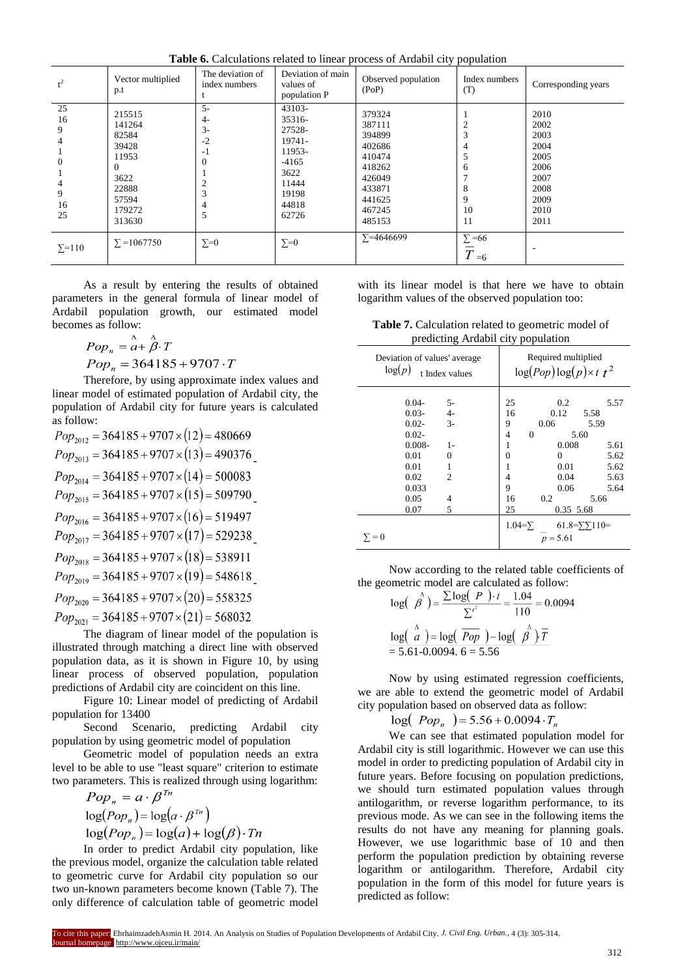**Table 6.** Calculations related to linear process of Ardabil city population

| $t^2$                                                | Vector multiplied<br>p.t                                                                              | The deviation of<br>index numbers            | Deviation of main<br>values of<br>population P                                                        | Observed population<br>(PoP)                                                                               | Index numbers<br>(T)                    | Corresponding years                                                                  |
|------------------------------------------------------|-------------------------------------------------------------------------------------------------------|----------------------------------------------|-------------------------------------------------------------------------------------------------------|------------------------------------------------------------------------------------------------------------|-----------------------------------------|--------------------------------------------------------------------------------------|
| 25<br>16<br>9<br>4<br>$\Omega$<br>4<br>9<br>16<br>25 | 215515<br>141264<br>82584<br>39428<br>11953<br>$\Omega$<br>3622<br>22888<br>57594<br>179272<br>313630 | $5-$<br>4-<br>$3-$<br>$-2$<br>$-1$<br>4<br>5 | 43103-<br>35316-<br>27528-<br>19741-<br>11953-<br>$-4165$<br>3622<br>11444<br>19198<br>44818<br>62726 | 379324<br>387111<br>394899<br>402686<br>410474<br>418262<br>426049<br>433871<br>441625<br>467245<br>485153 | 4<br>5<br>6<br>8<br>9<br>10<br>11       | 2010<br>2002<br>2003<br>2004<br>2005<br>2006<br>2007<br>2008<br>2009<br>2010<br>2011 |
| $\Sigma = 110$                                       | $\Sigma = 1067750$                                                                                    | $\Sigma = 0$                                 | $\Sigma = 0$                                                                                          | $\Sigma = 4646699$                                                                                         | $\Sigma = 66$<br>$\overline{T}$<br>$=6$ |                                                                                      |

As a result by entering the results of obtained parameters in the general formula of linear model of Ardabil population growth, our estimated model becomes as follow:

$$
Pop_n = \stackrel{\wedge}{a} + \stackrel{\wedge}{\beta} \cdot T
$$

$$
Pop_n = 364185 + 9707 \cdot T
$$

Therefore, by using approximate index values and linear model of estimated population of Ardabil city, the population of Ardabil city for future years is calculated

as follow:<br>  $Pop<sub>2012</sub> = 364185 + 9707 \times (12) = 480669$  $Pop_{2013} = 364185 + 9707 \times (13) = 490376$  $Pop_{2014} = 364185 + 9707 \times (14) = 500083$  $Pop_{2015} = 364185 + 9707 \times (15) = 509790$  $Pop_{2016} = 364185 + 9707 \times (16) = 519497$  $Pop_{2017} = 364185 + 9707 \times (17) = 529238$  $Pop_{2018} = 364185 + 9707 \times (18) = 538911$  $Pop_{2019} = 364185 + 9707 \times (19) = 548618$  $Pop_{2020} = 364185 + 9707 \times (20) = 558325$  $Pop_{2021} = 364185 + 9707 \times (21) = 568032$ 

The diagram of linear model of the population is illustrated through matching a direct line with observed population data, as it is shown in Figure 10, by using linear process of observed population, population predictions of Ardabil city are coincident on this line.

Figure 10: Linear model of predicting of Ardabil population for 13400

Second Scenario, predicting Ardabil city population by using geometric model of population

Geometric model of population needs an extra level to be able to use "least square" criterion to estimate two parameters. This is realized through using logarithm:

$$
Pop_n = a \cdot \beta^{1n}
$$
  
\n
$$
\log (Pop_n) = \log(a \cdot \beta^{7n})
$$
  
\n
$$
\log (Pop_n) = \log(a) + \log(\beta) \cdot Tn
$$

In order to predict Ardabil city population, like the previous model, organize the calculation table related to geometric curve for Ardabil city population so our two un-known parameters become known (Table 7). The only difference of calculation table of geometric model with its linear model is that here we have to obtain logarithm values of the observed population too:

**Table 7.** Calculation related to geometric model of predicting Ardabil city population

| Deviation of values' average<br>log(p)<br>t Index values | Required multiplied<br>$\log (Pop) \log (p) \times t^{-2}$ |  |  |  |
|----------------------------------------------------------|------------------------------------------------------------|--|--|--|
| $0.04 -$<br>5-                                           | 25<br>0.2<br>5.57                                          |  |  |  |
| $4-$<br>$0.03 -$                                         | 0.12<br>16<br>5.58                                         |  |  |  |
| $3-$<br>$0.02 -$                                         | 0.06<br>9<br>5.59                                          |  |  |  |
| $0.02 -$                                                 | 5.60<br>4<br>$\Omega$                                      |  |  |  |
| $0.008 -$<br>$1-$                                        | 0.008<br>1<br>5.61                                         |  |  |  |
| 0.01<br>0                                                | 5.62<br>0<br>0                                             |  |  |  |
| 0.01<br>1                                                | 0.01<br>5.62<br>1                                          |  |  |  |
| 0.02<br>$\mathfrak{D}$                                   | 0.04<br>5.63<br>4                                          |  |  |  |
| 0.033                                                    | 9<br>0.06<br>5.64                                          |  |  |  |
| 0.05<br>4                                                | 16<br>0.2<br>5.66                                          |  |  |  |
| 0.07<br>5                                                | 25<br>0.35 5.68                                            |  |  |  |
|                                                          | $1.04 = \sum$<br>$61.8 = \sum 110$                         |  |  |  |
| $= 0$                                                    | $p = 5.61$                                                 |  |  |  |

Now according to the related table coefficients of the geometric model are calculated as follow:

$$
\log\left(\begin{array}{c}\n\hat{\beta}\n\end{array}\right) = \frac{\sum \log\left(\begin{array}{c} P \end{array}\right) \cdot t}{\sum^{i^2}} = \frac{1.04}{110} = 0.0094
$$
\n
$$
\frac{\log\left(\begin{array}{c} \hat{\alpha} \end{array}\right) = \log\left(\begin{array}{c} \overline{Pop} \end{array}\right) - \log\left(\begin{array}{c} \hat{\beta} \end{array}\right) \overline{T}}{= 5.61 - 0.0094, 6 = 5.56}
$$

Now by using estimated regression coefficients, we are able to extend the geometric model of Ardabil city population based on observed data as follow:

 $\log(Pop_n) = 5.56 + 0.0094 \cdot T_n$ 

We can see that estimated population model for Ardabil city is still logarithmic. However we can use this model in order to predicting population of Ardabil city in future years. Before focusing on population predictions, we should turn estimated population values through antilogarithm, or reverse logarithm performance, to its previous mode. As we can see in the following items the results do not have any meaning for planning goals. However, we use logarithmic base of 10 and then perform the population prediction by obtaining reverse logarithm or antilogarithm. Therefore, Ardabil city population in the form of this model for future years is predicted as follow: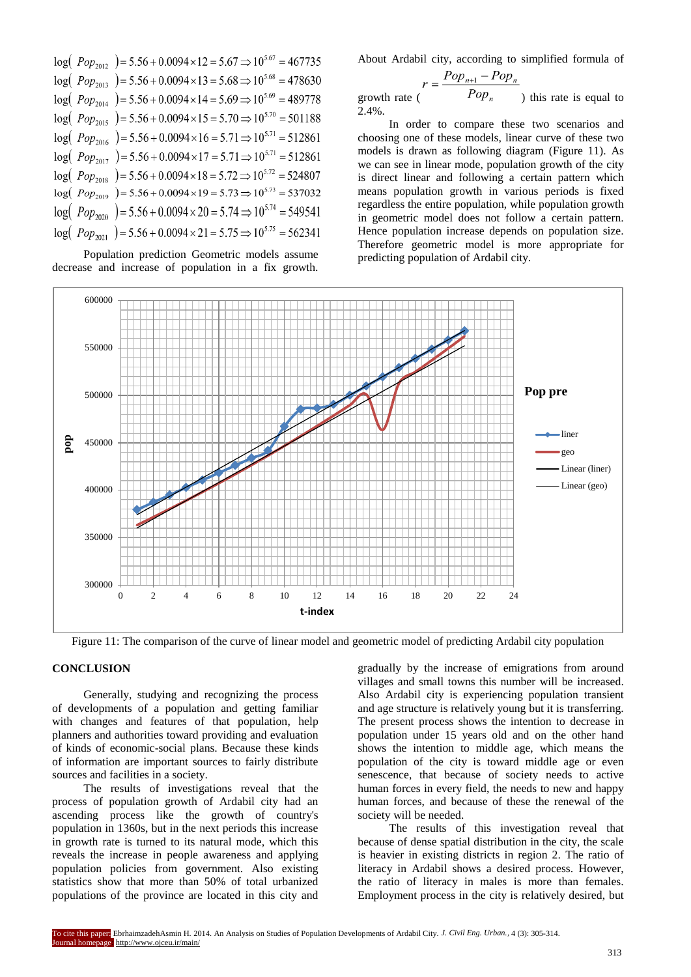| $log(Pop_{2012})$ = 5.56 + 0.0094 × 12 = 5.67 $\Rightarrow$ 10 <sup>5.67</sup> = 467735 |
|-----------------------------------------------------------------------------------------|
| $log(Pop_{2013}) = 5.56 + 0.0094 \times 13 = 5.68 \Rightarrow 10^{5.68} = 478630$       |
| $log(Pop_{2014}) = 5.56 + 0.0094 \times 14 = 5.69 \Rightarrow 10^{5.69} = 489778$       |
| $log(Pop_{2015})$ = 5.56 + 0.0094 × 15 = 5.70 $\Rightarrow$ 10 <sup>5.70</sup> = 501188 |
| $log(Pop_{2016}) = 5.56 + 0.0094 \times 16 = 5.71 \Rightarrow 10^{5.71} = 512861$       |
| $log(Pop_{2017}) = 5.56 + 0.0094 \times 17 = 5.71 \Rightarrow 10^{5.71} = 512861$       |
| $log(Pop_{2018}) = 5.56 + 0.0094 \times 18 = 5.72 \Rightarrow 10^{5.72} = 524807$       |
| $log(Pop_{2019}) = 5.56 + 0.0094 \times 19 = 5.73 \Rightarrow 10^{5.73} = 537032$       |
| $log(Pop_{2020})$ = 5.56 + 0.0094 × 20 = 5.74 $\Rightarrow$ 10 <sup>5.74</sup> = 549541 |
| $log(Pop_{2021})$ = 5.56 + 0.0094 × 21 = 5.75 $\Rightarrow$ 10 <sup>5.75</sup> = 562341 |
|                                                                                         |

Population prediction Geometric models assume decrease and increase of population in a fix growth. About Ardabil city, according to simplified formula of

$$
r = \frac{Pop_{n+1} - Pop_n}{Pop_n}
$$
 growth rate (

In order to compare these two scenarios and choosing one of these models, linear curve of these two models is drawn as following diagram (Figure 11). As we can see in linear mode, population growth of the city is direct linear and following a certain pattern which means population growth in various periods is fixed regardless the entire population, while population growth in geometric model does not follow a certain pattern. Hence population increase depends on population size. Therefore geometric model is more appropriate for predicting population of Ardabil city.



2.4%.

Figure 11: The comparison of the curve of linear model and geometric model of predicting Ardabil city population

# **CONCLUSION**

Generally, studying and recognizing the process of developments of a population and getting familiar with changes and features of that population, help planners and authorities toward providing and evaluation of kinds of economic-social plans. Because these kinds of information are important sources to fairly distribute sources and facilities in a society.

The results of investigations reveal that the process of population growth of Ardabil city had an ascending process like the growth of country's population in 1360s, but in the next periods this increase in growth rate is turned to its natural mode, which this reveals the increase in people awareness and applying population policies from government. Also existing statistics show that more than 50% of total urbanized populations of the province are located in this city and gradually by the increase of emigrations from around villages and small towns this number will be increased. Also Ardabil city is experiencing population transient and age structure is relatively young but it is transferring. The present process shows the intention to decrease in population under 15 years old and on the other hand shows the intention to middle age, which means the population of the city is toward middle age or even senescence, that because of society needs to active human forces in every field, the needs to new and happy human forces, and because of these the renewal of the society will be needed.

The results of this investigation reveal that because of dense spatial distribution in the city, the scale is heavier in existing districts in region 2. The ratio of literacy in Ardabil shows a desired process. However, the ratio of literacy in males is more than females. Employment process in the city is relatively desired, but